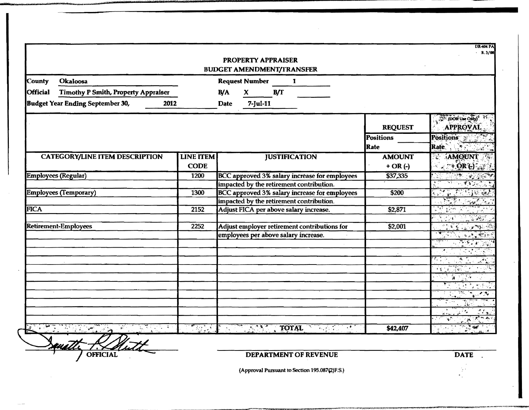|                 |                                            |                          |                         | <b>PROPERTY APPRAISER</b><br><b>BUDGET AMENDMENT/TRANSFER</b> |                         |                                               |      |                  | <b>DR-404 PA</b><br>R. 3/08                                                                                   |
|-----------------|--------------------------------------------|--------------------------|-------------------------|---------------------------------------------------------------|-------------------------|-----------------------------------------------|------|------------------|---------------------------------------------------------------------------------------------------------------|
| <b>County</b>   | Okaloosa                                   |                          |                         | <b>Request Number</b>                                         | $\overline{\mathbf{1}}$ |                                               |      |                  |                                                                                                               |
| <b>Official</b> | <b>Timothy P Smith, Property Appraiser</b> |                          | B/A                     | $\mathbf{x}$ and $\mathbf{x}$                                 | B/T                     |                                               |      |                  |                                                                                                               |
|                 | <b>Budget Year Ending September 30,</b>    | 2012                     | <b>Date</b>             | 7-Jul-11                                                      |                         |                                               |      |                  |                                                                                                               |
|                 |                                            |                          |                         |                                                               |                         |                                               |      | <b>REQUEST</b>   | (DOR Use Only) <sup>*</sup><br><b>APPROVAL</b>                                                                |
|                 |                                            |                          |                         |                                                               |                         |                                               |      | <b>Positions</b> | Positions 2002                                                                                                |
|                 |                                            |                          |                         |                                                               |                         |                                               |      | Rate             | Rate 1 11 200                                                                                                 |
|                 | <b>CATEGORY/LINE ITEM DESCRIPTION</b>      | <b>LINE ITEM</b>         |                         |                                                               | <b>JUSTIFICATION</b>    |                                               |      | <b>AMOUNT</b>    | 73<br><b>AMQUNT</b>                                                                                           |
|                 |                                            | <b>CODE</b>              |                         |                                                               |                         |                                               |      | $+OR(-)$         | $\left(1 + \frac{1}{2} \mathbf{R} \mathbf{G} \right)$                                                         |
|                 | Employees (Regular)                        | 1200                     |                         |                                                               |                         | BCC approved 3% salary increase for employees |      | \$37,335         |                                                                                                               |
|                 |                                            |                          |                         |                                                               |                         | impacted by the retirement contribution.      |      |                  |                                                                                                               |
|                 | <b>Employees (Temporary)</b>               | 1300                     |                         |                                                               |                         | BCC approved 3% salary increase for employees |      | \$200            |                                                                                                               |
|                 |                                            |                          |                         |                                                               |                         | impacted by the retirement contribution.      |      |                  |                                                                                                               |
| <b>FICA</b>     |                                            | 2152                     |                         |                                                               |                         | Adjust FICA per above salary increase.        |      | \$2,871          | $\mathbf{r}^{\prime}$ , and                                                                                   |
|                 |                                            |                          |                         |                                                               |                         |                                               |      |                  | <b>STATIST</b>                                                                                                |
|                 | <b>Retirement-Employees</b>                | 2252                     |                         |                                                               |                         | Adjust employer retirement contributions for  |      | \$2,001          | 28.250                                                                                                        |
|                 |                                            |                          |                         |                                                               |                         | employees per above salary increase.          |      |                  | <b>ANDREW BRAND</b>                                                                                           |
|                 |                                            |                          |                         |                                                               |                         |                                               |      |                  | 3. THE STATE                                                                                                  |
|                 |                                            |                          |                         |                                                               |                         |                                               |      |                  |                                                                                                               |
|                 |                                            |                          |                         |                                                               |                         |                                               |      |                  | कर <sub>है।</sub><br>$\mathbb{R}$                                                                             |
|                 |                                            |                          |                         |                                                               |                         |                                               |      |                  |                                                                                                               |
|                 |                                            |                          |                         |                                                               |                         |                                               |      |                  |                                                                                                               |
|                 |                                            |                          |                         |                                                               |                         |                                               |      |                  | $\frac{1}{2}$ , $\frac{1}{2}$ , $\frac{1}{2}$ , $\frac{1}{2}$ , $\frac{1}{2}$ , $\frac{1}{2}$ , $\frac{1}{2}$ |
|                 |                                            |                          |                         |                                                               |                         |                                               |      |                  |                                                                                                               |
|                 |                                            |                          |                         |                                                               |                         |                                               |      |                  | $\mathcal{L} \times \mathbf{R}$                                                                               |
|                 |                                            |                          |                         |                                                               |                         |                                               |      |                  |                                                                                                               |
|                 |                                            | $\mathbb{R}^{n\times n}$ | i aliyê ye.<br>Gundên K | $\mathcal{A}_1 \cong \mathcal{A}_2$                           | TOTAL                   |                                               | in P | \$42,407         |                                                                                                               |

*DEPARTMENT OF REVENUE* **DATE** 

 $\frac{1}{2}$ 

(Approval Pursuant to Section 195.087(2)F.S.)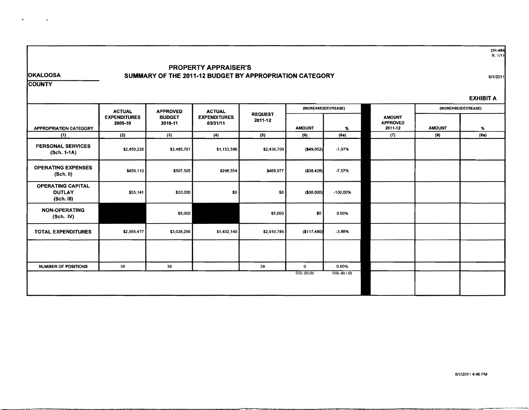DR-484<br>R. 1/11

**OKALOOSA** 

 $\sim 100$  km s  $^{-1}$ 

 $\bullet$ 

### PROPERTY APPRAISER'S **SUMMARY** OF THE 2011-12 BUDGET BY **APPROPRIATION** CATEGORY

611/2011

**COUNTY** 

|                                                           |                                |                          |                                 |                           |                      |              |                                             |               | <b>EXHIBIT A</b>     |
|-----------------------------------------------------------|--------------------------------|--------------------------|---------------------------------|---------------------------|----------------------|--------------|---------------------------------------------|---------------|----------------------|
|                                                           | <b>ACTUAL</b>                  | <b>APPROVED</b>          | <b>ACTUAL</b>                   |                           | (INCREASE/(DECREASE) |              |                                             |               | (INCREASE/(DECREASE) |
| <b>APPROPRIATION CATEGORY</b>                             | <b>EXPENDITURES</b><br>2009-10 | <b>BUDGET</b><br>2010-11 | <b>EXPENDITURES</b><br>03/31/11 | <b>REQUEST</b><br>2011-12 | <b>AMOUNT</b>        | %            | <b>AMOUNT</b><br><b>APPROVED</b><br>2011-12 | <b>AMOUNT</b> | %                    |
| (1)                                                       | (2)                            | (3)                      | (4)                             | (5)                       | (6)                  | (6a)         | (7)                                         | (3)           | (8a)                 |
| <b>PERSONAL SERVICES</b><br>(Sch. 1-1A)                   | \$2,450,226                    | \$2,485,761              | \$1,153,586                     | \$2,436,709               | ( \$49,052]          | $-1.97%$     |                                             |               |                      |
| <b>OPERATING EXPENSES</b><br>(Sch. II)                    | \$450,110                      | \$507,505                | \$248,554                       | \$469,077                 | ( \$38, 428)         | $-7.57%$     |                                             |               |                      |
| <b>OPERATING CAPITAL</b><br><b>OUTLAY</b><br>$(Sch.$ III) | \$55,141                       | \$30,000                 | \$0                             | \$0                       | ( \$30,000]          | $-100.00%$   |                                             |               |                      |
| <b>NON-OPERATING</b><br>(Sch. IV)                         |                                | \$5,000                  |                                 | \$5,000                   | \$0                  | 0.00%        |                                             |               |                      |
| <b>TOTAL EXPENDITURES</b>                                 | \$2,955,477                    | \$3,028,266              | \$1,402,140                     | \$2,910,786               | ( \$117,480)         | $-3,88%$     |                                             |               |                      |
|                                                           |                                |                          |                                 |                           |                      |              |                                             |               |                      |
| <b>NUMBER OF POSITIONS</b>                                | 39                             | 39                       |                                 | 39                        | $\mathbf 0$          | 0.00%        |                                             |               |                      |
|                                                           |                                |                          |                                 |                           | $COL (5)-(3)$        | COL(6) / (3) |                                             |               |                      |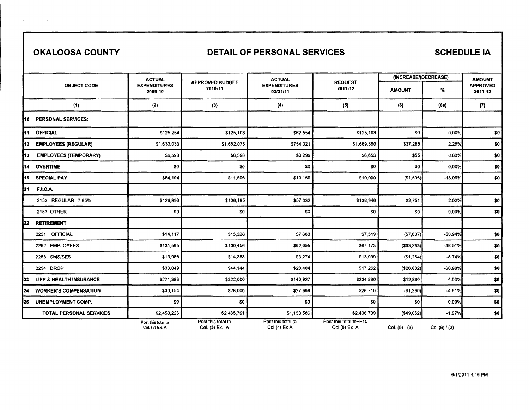$\ddot{\phantom{1}}$ 

 $\bullet$ 

## OKALOOSA COUNTY **DETAIL OF PERSONAL SERVICES** SCHEDULE IA

|    |                              | <b>ACTUAL</b>                        |                                      | <b>ACTUAL</b>                       |                                         | (INCREASE/(DECREASE) |                   | <b>AMOUNT</b>              |
|----|------------------------------|--------------------------------------|--------------------------------------|-------------------------------------|-----------------------------------------|----------------------|-------------------|----------------------------|
|    | <b>OBJECT CODE</b>           | <b>EXPENDITURES</b><br>2009-10       | <b>APPROVED BUDGET</b><br>2010-11    | <b>EXPENDITURES</b><br>03/31/11     | <b>REQUEST</b><br>2011-12               | <b>AMOUNT</b>        | ℅                 | <b>APPROVED</b><br>2011-12 |
|    | (1)                          | (2)                                  | (3)                                  | (4)                                 | (5)                                     | (6)                  | (6a)              | (7)                        |
|    | 10 PERSONAL SERVICES:        |                                      |                                      |                                     |                                         |                      |                   |                            |
|    | 11 OFFICIAL                  | \$125,254                            | \$125,108                            | \$62,554                            | \$125,108                               | \$0                  | 0.00%             | \$0                        |
|    | 12 EMPLOYEES (REGULAR)       | \$1,633,033                          | \$1,652,075                          | \$754,321                           | \$1,689,360                             | \$37,285             | 2.26%             | \$0                        |
| 13 | <b>EMPLOYEES (TEMPORARY)</b> | \$6,598                              | \$6,598                              | \$3,299                             | \$6,653                                 | \$55                 | 0.83%             | \$0                        |
|    | 14 OVERTIME                  | \$0                                  | \$0                                  | \$0                                 | \$0                                     | \$0                  | 0.00%             | \$0                        |
|    | 15 SPECIAL PAY               | \$64,194                             | \$11,506                             | \$13,159                            | \$10,000                                | (\$1,506)            | $-13.09%$         | \$0                        |
| 21 | F.I.C.A.                     |                                      |                                      |                                     |                                         |                      |                   |                            |
|    | 2152 REGULAR 7.65%           | \$126,893                            | \$136,195                            | \$57,332                            | \$138,946                               | \$2,751              | 2.02%             | \$0                        |
|    | <b>2153 OTHER</b>            | \$0                                  | \$0                                  | \$0                                 | \$0                                     | \$0                  | 0.00%             | \$0                        |
| 22 | <b>RETIREMENT</b>            |                                      |                                      |                                     |                                         |                      |                   |                            |
|    | 2251 OFFICIAL                | \$14,117                             | \$15,326                             | \$7,663                             | \$7,519                                 | (57, 807)            | $-50.94%$         | \$0                        |
|    | 2252 EMPLOYEES               | \$131,565                            | \$130,456                            | \$62,655                            | \$67,173                                | ( \$63, 283)         | $-48.51%$         | \$0                        |
|    | 2253 SMS/SES                 | \$13,986                             | \$14,353                             | \$3,274                             | \$13,099                                | (\$1,254)            | $-8.74%$          | \$0                        |
|    | 2254 DROP                    | \$33,049                             | \$44,144                             | \$20,404                            | \$17,262                                | (\$26,882)           | -60.90%           | \$0                        |
| 23 | LIFE & HEALTH INSURANCE      | \$271,383                            | \$322,000                            | \$140,927                           | \$334,880                               | \$12,880             | 4.00%             | \$0                        |
| 24 | <b>WORKER'S COMPENSATION</b> | \$30,154                             | \$28,000                             | \$27,999                            | \$26,710                                | (\$1,290)            | $-4.61%$          | \$0                        |
| 25 | <b>UNEMPLOYMENT COMP.</b>    | \$0                                  | \$0                                  | \$0                                 | \$0                                     | \$0                  | 0.00%             | \$0                        |
|    | TOTAL PERSONAL SERVICES      | \$2,450,226                          | \$2,485,761                          | \$1,153,586                         | \$2,436,709                             | ( \$49,052]          | $-1.97%$          | \$0                        |
|    |                              | Post this total to<br>Col. (2) Ex. A | Post this total to<br>Col. (3) Ex. A | Post this total to<br>$Col(4)$ Ex A | Post this total to+E10<br>$Col(5)$ Ex A | $Col. (5) - (3)$     | Col $(6)$ / $(3)$ |                            |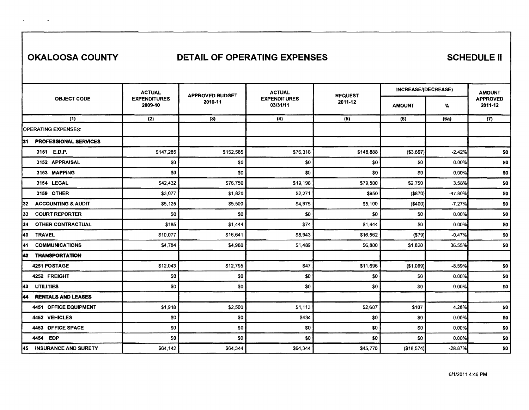$\mathbf{r} = \mathbf{r} \times \mathbf{r}$  , where  $\mathbf{r}$ 

## **OKALOOSA COUNTY DETAIL OF OPERATING EXPENSES SCHEDULE II**

|                                     | <b>ACTUAL</b>                  | <b>APPROVED BUDGET</b> | <b>ACTUAL</b>                   | <b>REQUEST</b> | <b>INCREASE/(DECREASE)</b> |           | <b>AMOUNT</b>              |
|-------------------------------------|--------------------------------|------------------------|---------------------------------|----------------|----------------------------|-----------|----------------------------|
| <b>OBJECT CODE</b>                  | <b>EXPENDITURES</b><br>2009-10 | 2010-11                | <b>EXPENDITURES</b><br>03/31/11 | 2011-12        | <b>AMOUNT</b>              | %         | <b>APPROVED</b><br>2011-12 |
| (1)                                 | (2)                            | (3)                    | (4)                             | (5)            | (6)                        | (6a)      | (7)                        |
| <b>OPERATING EXPENSES:</b>          |                                |                        |                                 |                |                            |           |                            |
| <b>PROFESSIONAL SERVICES</b><br>131 |                                |                        |                                 |                |                            |           |                            |
| 3151 E.D.P.                         | \$147,285                      | \$152,585              | \$76,318                        | \$148,888      | ( \$3,697)                 | $-2.42%$  | \$0                        |
| 3152 APPRAISAL                      | \$0                            | \$0                    | \$0                             | \$0            | \$0                        | 0.00%     | \$0                        |
| 3153 MAPPING                        | \$0                            | \$0                    | \$0                             | \$0            | \$0                        | 0.00%     | \$0                        |
| 3154 LEGAL                          | \$42,432                       | \$76,750               | \$19,198                        | \$79,500       | \$2,750                    | 3.58%     | \$0                        |
| 3159 OTHER                          | \$3,077                        | \$1,820                | \$2,271                         | \$950          | (\$870)                    | -47.80%   | \$0                        |
| <b>ACCOUNTING &amp; AUDIT</b><br>32 | \$5,125                        | \$5,500                | \$4,975                         | \$5,100        | (\$400)                    | $-7.27%$  | \$0                        |
| <b>COURT REPORTER</b><br>33         | \$0                            | \$0                    | \$0                             | \$0            | \$0                        | 0.00%     | \$0                        |
| <b>OTHER CONTRACTUAL</b><br>134     | \$185                          | \$1,444                | \$74                            | \$1,444        | \$0                        | 0.00%     | \$0                        |
| <b>TRAVEL</b><br><b>140</b>         | \$10,077                       | \$16,641               | \$8,943                         | \$16,562       | (\$79)                     | $-0.47%$  | \$0                        |
| <b>COMMUNICATIONS</b><br> 41        | \$4,784                        | \$4,980                | \$1,489                         | \$6,800        | \$1,820                    | 36.55%    | \$0                        |
| <b>TRANSPORTATION</b><br>i42        |                                |                        |                                 |                |                            |           |                            |
| 4251 POSTAGE                        | \$12,043                       | \$12,795               | \$47                            | \$11,696       | (\$1,099)                  | $-8.59%$  | \$0                        |
| 4252 FREIGHT                        | \$0                            | \$0                    | \$0                             | \$0            | \$0                        | 0.00%     | \$0                        |
| l43<br><b>UTILITIES</b>             | \$0                            | \$0                    | \$0                             | \$0            | \$0                        | 0.00%     | \$0                        |
| <b>RENTALS AND LEASES</b><br>144    |                                |                        |                                 |                |                            |           |                            |
| 4451 OFFICE EQUIPMENT               | \$1,918                        | \$2,500                | \$1,113                         | \$2,607        | \$107                      | 4.28%     | \$0                        |
| 4452 VEHICLES                       | \$0                            | \$0                    | \$434                           | \$0            | \$0                        | 0.00%     | \$0                        |
| 4453 OFFICE SPACE                   | \$0                            | \$0                    | \$0                             | \$0            | \$0                        | 0.00%     | \$0                        |
| 4454 EDP                            | \$0                            | \$0                    | \$0                             | \$0            | \$0                        | 0.00%     | \$0                        |
| <b>INSURANCE AND SURETY</b><br> 45  | \$64,142                       | \$64,344               | \$64,344                        | \$45,770       | (\$18,574)                 | $-28.87%$ | \$0                        |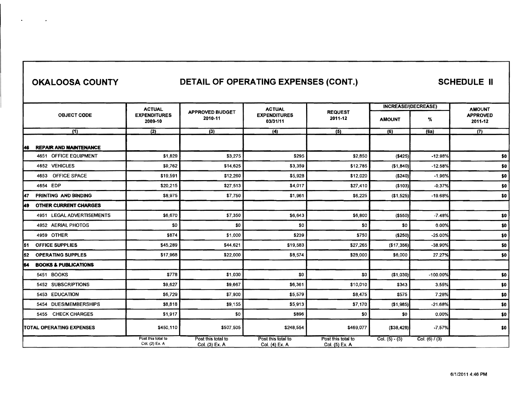# **OKALOOSA COUNTY CONTAIL OF OPERATING EXPENSES (CONT.) SCHEDULE II**

|     |                                 | <b>ACTUAL</b>                        |                                      | <b>ACTUAL</b>                        |                                      | <b>INCREASE/(DECREASE)</b> |                  | <b>AMOUNT</b>              |
|-----|---------------------------------|--------------------------------------|--------------------------------------|--------------------------------------|--------------------------------------|----------------------------|------------------|----------------------------|
|     | <b>OBJECT CODE</b>              | <b>EXPENDITURES</b><br>2009-10       | <b>APPROVED BUDGET</b><br>2010-11    | <b>EXPENDITURES</b><br>03/31/11      | <b>REQUEST</b><br>2011-12            | <b>AMOUNT</b>              | %                | <b>APPROVED</b><br>2011-12 |
|     | (1)                             | (2)                                  | (3)                                  | (4)                                  | (5)                                  | (6)                        | (6a)             | (7)                        |
| 46  | <b>REPAIR AND MAINTENANCE</b>   |                                      |                                      |                                      |                                      |                            |                  |                            |
|     | 4651 OFFICE EQUIPMENT           | \$1,829                              | \$3,275                              | \$295                                | \$2,850                              | (\$425)                    | $-12.98%$        | \$0                        |
|     | 4652 VEHICLES                   | \$9,762                              | \$14,625                             | \$3,359                              | \$12,785                             | (\$1,840)                  | $-12.58%$        | \$0                        |
|     | 4653 OFFICE SPACE               | \$19,591                             | \$12,260                             | \$5,928                              | \$12,020                             | (\$240)                    | $-1.96%$         | \$0                        |
|     | 4654 EDP                        | \$20,215                             | \$27,513                             | \$4,017                              | \$27,410                             | (\$103)                    | $-0.37%$         | \$0                        |
| 47  | PRINTING AND BINDING            | \$8,975                              | \$7,750                              | \$1,961                              | \$6,225                              | ( \$1,525)                 | $-19.68%$        | \$0                        |
| 149 | <b>OTHER CURRENT CHARGES</b>    |                                      |                                      |                                      |                                      |                            |                  |                            |
|     | 4951 LEGAL ADVERTISEMENTS       | \$6,670                              | \$7,350                              | \$6,643                              | \$6,800                              | ( \$550)                   | $-7.48%$         | \$0                        |
|     | 4952 AERIAL PHOTOS              | \$0                                  | \$0                                  | \$0                                  | \$0                                  | \$0                        | 0.00%            | \$0                        |
|     | 4959 OTHER                      | \$874                                | \$1,000                              | \$239                                | \$750                                | (\$250)                    | $-25.00%$        | \$0                        |
| 51  | <b>OFFICE SUPPLIES</b>          | \$45,289                             | \$44,621                             | \$19,583                             | \$27,265                             | (\$17,356)                 | $-38.90%$        | \$0                        |
| 52  | <b>OPERATING SUPPLES</b>        | \$17,968                             | \$22,000                             | \$8,574                              | \$28,000                             | \$6,000                    | 27.27%           | \$0                        |
| 54  | <b>BOOKS &amp; PUBLICATIONS</b> |                                      |                                      |                                      |                                      |                            |                  |                            |
|     | 5451 BOOKS                      | \$778                                | \$1,030                              | \$0                                  | \$0                                  | (\$1,030)                  | $-100.00%$       | \$0                        |
|     | 5452 SUBSCRIPTIONS              | \$9.627                              | \$9,667                              | \$6,361                              | \$10,010                             | \$343                      | 3.55%            | \$0                        |
|     | 5453 EDUCATION                  | \$6,729                              | \$7,900                              | \$5.579                              | \$8,475                              | \$575                      | 7.28%            | \$0                        |
|     | 5454 DUES/MEMBERSHIPS           | \$8,818                              | \$9,155                              | \$5,913                              | \$7,170                              | (\$1,985)                  | $-21.68%$        | \$0                        |
|     | 5455 CHECK CHARGES              | \$1,917                              | \$0                                  | \$896                                | \$0                                  | \$0                        | 0.00%            | \$0                        |
|     | TOTAL OPERATING EXPENSES        | \$450,110                            | \$507,505                            | \$248,554                            | \$469,077                            | ( \$38,428]                | $-7.57%$         | \$0                        |
|     |                                 | Post this total to<br>Col. (2) Ex. A | Post this total to<br>Col. (3) Ex. A | Post this total to<br>Col. (4) Ex. A | Post this total to<br>Col. (5) Ex. A | Col. $(5) - (3)$           | Col. $(6) / (3)$ |                            |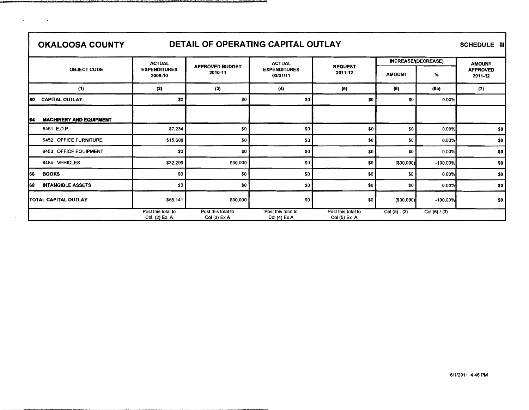$\cdot$ 

 $\overline{\phantom{a}}$ 

# **OKALOOSA COUNTY DETAIL OF OPERATING CAPITAL OUTLAY** SCHEDULE III

|     |                                | <b>ACTUAL</b>                        |                                     | <b>ACTUAL</b>                      |                                    |                | <b>INCREASE/(DECREASE)</b> | <b>AMOUNT</b>              |  |  |
|-----|--------------------------------|--------------------------------------|-------------------------------------|------------------------------------|------------------------------------|----------------|----------------------------|----------------------------|--|--|
|     | <b>OBJECT CODE</b>             | <b>EXPENDITURES</b><br>2009-10       | <b>APPROVED BUDGET</b><br>2010-11   | <b>EXPENDITURES</b><br>03/31/11    | <b>REQUEST</b><br>2011-12          | <b>AMOUNT</b>  | %                          | <b>APPROVED</b><br>2011-12 |  |  |
|     | (1)                            | (2)                                  | (3)                                 | (4)                                | (5)                                | (6)            | (6a)                       | (7)                        |  |  |
| 160 | <b>CAPITAL OUTLAY:</b>         | \$0                                  | \$0                                 | SO.                                | \$0                                | \$0            | 0.00%                      |                            |  |  |
|     |                                |                                      |                                     |                                    |                                    |                |                            |                            |  |  |
| 64  | <b>MACHINERY AND EQUIPMENT</b> |                                      |                                     |                                    |                                    |                |                            |                            |  |  |
|     | 6451 E.D.P.                    | \$7,234                              | \$0                                 | \$0                                | \$0                                | \$0            | 0.00%                      | \$0                        |  |  |
|     | 6452 OFFICE FURNITURE          | \$15,608                             | \$0                                 | \$0                                | \$0                                | \$0            | 0.00%                      | \$0                        |  |  |
|     | 6453 OFFICE EQUIPMENT          | \$0                                  | \$0                                 | \$0                                | \$0                                | \$0            | 0.00%                      | \$0                        |  |  |
|     | 6454 VEHICLES                  | \$32,299                             | \$30,000                            | \$0                                | \$0                                | $($ \$30,000)  | $-100.00\%$                | \$0                        |  |  |
| 166 | <b>BOOKS</b>                   | \$0                                  | \$0                                 | \$0                                | \$0                                | \$0            | 0.00%                      | \$0                        |  |  |
| 168 | <b>INTANGIBLE ASSETS</b>       | \$0                                  | \$0                                 | \$0                                | \$0                                | \$0            | 0.00%                      | \$0                        |  |  |
|     | TOTAL CAPITAL OUTLAY           | \$55,141                             | \$30,000                            | \$0                                | \$0                                | ( \$30,000]    | $-100,00%$                 | \$0                        |  |  |
|     |                                | Post this total to<br>Col. (2) Ex. A | Post this total to<br>$Col(3)$ Ex A | Post this total to<br>Col (4) Ex A | Post this total to<br>Col (5) Ex A | $Col(5) - (3)$ | Col $(6) / (3)$            |                            |  |  |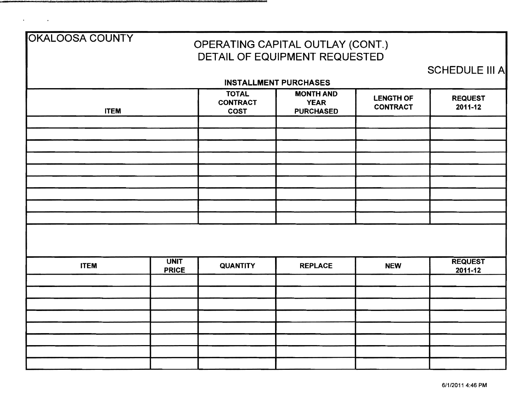| OKALOOSA COUNTY |                             |                                                | OPERATING CAPITAL OUTLAY (CONT.)<br>DETAIL OF EQUIPMENT REQUESTED |                                     |                           |
|-----------------|-----------------------------|------------------------------------------------|-------------------------------------------------------------------|-------------------------------------|---------------------------|
|                 |                             |                                                |                                                                   |                                     | <b>SCHEDULE III A</b>     |
|                 |                             | <b>INSTALLMENT PURCHASES</b>                   |                                                                   |                                     |                           |
| <b>ITEM</b>     |                             | <b>TOTAL</b><br><b>CONTRACT</b><br><b>COST</b> | <b>MONTH AND</b><br><b>YEAR</b><br><b>PURCHASED</b>               | <b>LENGTH OF</b><br><b>CONTRACT</b> | <b>REQUEST</b><br>2011-12 |
|                 |                             |                                                |                                                                   |                                     |                           |
|                 |                             |                                                |                                                                   |                                     |                           |
|                 |                             |                                                |                                                                   |                                     |                           |
|                 |                             |                                                |                                                                   |                                     |                           |
|                 |                             |                                                |                                                                   |                                     |                           |
|                 |                             |                                                |                                                                   |                                     |                           |
|                 |                             |                                                |                                                                   |                                     |                           |
|                 |                             |                                                |                                                                   |                                     |                           |
|                 |                             |                                                |                                                                   |                                     |                           |
|                 |                             |                                                |                                                                   |                                     |                           |
| <b>ITEM</b>     | <b>UNIT</b><br><b>PRICE</b> | <b>QUANTITY</b>                                | <b>REPLACE</b>                                                    | <b>NEW</b>                          | <b>REQUEST</b><br>2011-12 |
|                 |                             |                                                |                                                                   |                                     |                           |
|                 |                             |                                                |                                                                   |                                     |                           |
|                 |                             |                                                |                                                                   |                                     |                           |
|                 |                             |                                                |                                                                   |                                     |                           |
|                 |                             |                                                |                                                                   |                                     |                           |
|                 |                             |                                                |                                                                   |                                     |                           |
|                 |                             |                                                |                                                                   |                                     |                           |
|                 |                             |                                                |                                                                   |                                     |                           |

 $\mathcal{A}^{\mathcal{A}}$  and  $\mathcal{A}^{\mathcal{A}}$  and  $\mathcal{A}^{\mathcal{A}}$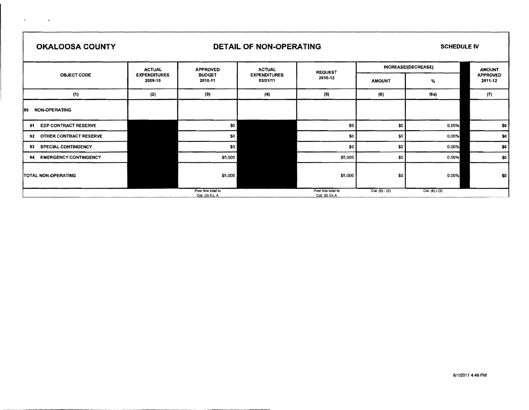| <b>OKALOOSA COUNTY</b>             |                                | <b>DETAIL OF NON-OPERATING</b>       | <b>SCHEDULE IV</b>              |                                     |                     |                  |                            |
|------------------------------------|--------------------------------|--------------------------------------|---------------------------------|-------------------------------------|---------------------|------------------|----------------------------|
|                                    | <b>ACTUAL</b>                  | <b>APPROVED</b>                      | <b>ACTUAL</b>                   | <b>REQUEST</b>                      | INCREASE/(DECREASE) | <b>AMOUNT</b>    |                            |
| <b>OBJECT CODE</b>                 | <b>EXPENDITURES</b><br>2009-10 | <b>BUDGET</b><br>2010-11             | <b>EXPENDITURES</b><br>03/31/11 | 2010-12                             | <b>AMOUNT</b>       | %                | <b>APPROVED</b><br>2011-12 |
| (1)                                | (2)                            | (3)                                  | (4)                             | (5)                                 | (6)                 | (6a)             | (7)                        |
| <b>NON-OPERATING</b><br>l90        |                                |                                      |                                 |                                     |                     |                  |                            |
| <b>EDP CONTRACT RESERVE</b><br>91  |                                | \$0                                  |                                 | \$0                                 | \$0                 | 0.00%            | \$0                        |
| OTHER CONTRACT RESERVE<br>92       |                                | \$0                                  |                                 | \$0                                 | \$0                 | 0.00%            | \$0                        |
| <b>SPECIAL CONTINGENCY</b><br>93   |                                | \$0                                  |                                 | \$0                                 | \$0                 | 0.00%            | \$0                        |
| <b>EMERGENCY CONTINGENCY</b><br>94 |                                | \$5,000                              |                                 | \$5,000                             | \$0                 | 0.00%            | \$0                        |
| <b>ITOTAL NON-OPERATING</b>        |                                | \$5,000                              |                                 | \$5,000                             | \$0                 | 0.00%            | \$0                        |
|                                    |                                | Post this total to<br>Col. (3) Ex. A |                                 | Post this total to<br>Col. (5) Ex A | Col. $(5) - (3)$    | Col. (6) $/$ (3) |                            |

 $\mathcal{L}_{\text{max}}$  and  $\mathcal{L}_{\text{max}}$ 

 $\Gamma$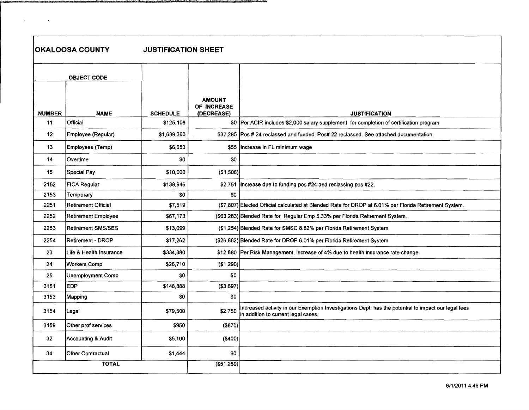$\bullet$ 

 $\sim 100$  km  $^{-1}$ 

**OKALOOSA COUNTY JUSTIFICATION SHEET** 

|                 | <b>OBJECT CODE</b>         |                 |                                            |                                                                                                                                            |
|-----------------|----------------------------|-----------------|--------------------------------------------|--------------------------------------------------------------------------------------------------------------------------------------------|
| <b>NUMBER</b>   | <b>NAME</b>                | <b>SCHEDULE</b> | <b>AMOUNT</b><br>OF INCREASE<br>(DECREASE) | <b>JUSTIFICATION</b>                                                                                                                       |
| 11              | Official                   | \$125,108       |                                            | \$0  Per ACIR includes \$2,000 salary supplement for completion of certification program                                                   |
| 12 <sub>2</sub> | Employee (Regular)         | \$1,689,360     |                                            | \$37,285 Pos # 24 reclassed and funded. Pos# 22 reclassed. See attached documentation.                                                     |
| 13              | Employees (Temp)           | \$6,653         |                                            | \$55 Increase in FL minimum wage                                                                                                           |
| 14              | Overtime                   | \$0             | \$0                                        |                                                                                                                                            |
| 15              | Special Pay                | \$10,000        | (\$1,506)                                  |                                                                                                                                            |
| 2152            | <b>FICA Regular</b>        | \$138,946       | \$2,751                                    | Increase due to funding pos #24 and reclassing pos #22.                                                                                    |
| 2153            | Temporary                  | \$0             | \$0                                        |                                                                                                                                            |
| 2251            | <b>Retirement Official</b> | \$7,519         |                                            | (\$7,807) Elected Official calculated at Blended Rate for DROP at 6.01% per Florida Retirement System.                                     |
| 2252            | Retirement Employee        | \$67,173        |                                            | (\$63,283) Blended Rate for Regular Emp 5.33% per Florida Retirement System.                                                               |
| 2253            | <b>Retirement SMS/SES</b>  | \$13,099        |                                            | (\$1,254) Blended Rate for SMSC 8.82% per Florida Retirement System.                                                                       |
| 2254            | <b>Retirement - DROP</b>   | \$17,262        |                                            | (\$26,882) Blended Rate for DROP 6.01% per Florida Retirement System.                                                                      |
| 23              | Life & Health Insurance    | \$334,880       |                                            | \$12,880 Per Risk Management, increase of 4% due to health insurance rate change.                                                          |
| 24              | <b>Workers Comp</b>        | \$26,710        | (\$1,290)                                  |                                                                                                                                            |
| 25              | Unemployment Comp          | \$0             | \$0                                        |                                                                                                                                            |
| 3151            | <b>EDP</b>                 | \$148,888       | (\$3,697)                                  |                                                                                                                                            |
| 3153            | Mapping                    | \$0             | \$0                                        |                                                                                                                                            |
| 3154            | Legal                      | \$79,500        | \$2,750                                    | Increased activity in our Exemption Investigations Dept. has the potential to impact our legal fees<br>in addition to current legal cases. |
| 3159            | Other prof services        | \$950           | $($ \$870) $ $                             |                                                                                                                                            |
| 32              | Accounting & Audit         | \$5,100         | (\$400)                                    |                                                                                                                                            |
| 34              | <b>Other Contractual</b>   | \$1,444         | \$0                                        |                                                                                                                                            |
|                 | <b>TOTAL</b>               |                 | $($ \$51,269) $ $                          |                                                                                                                                            |

تشكيك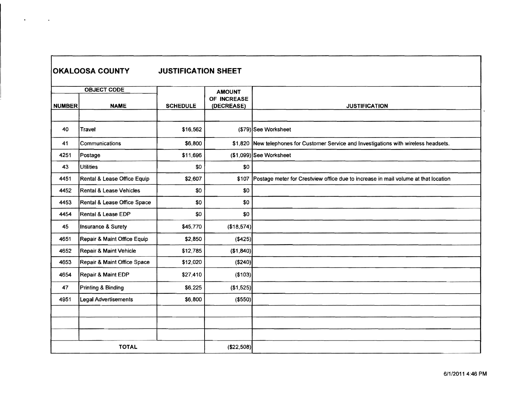|               | <b>OKALOOSA COUNTY</b>      | <b>JUSTIFICATION SHEET</b> |                           |                                                                                        |
|---------------|-----------------------------|----------------------------|---------------------------|----------------------------------------------------------------------------------------|
|               | <b>OBJECT CODE</b>          |                            | <b>AMOUNT</b>             |                                                                                        |
| <b>NUMBER</b> | <b>NAME</b>                 | <b>SCHEDULE</b>            | OF INCREASE<br>(DECREASE) | <b>JUSTIFICATION</b>                                                                   |
|               |                             |                            |                           |                                                                                        |
| 40            | Travel                      | \$16,562                   |                           | (\$79) See Worksheet                                                                   |
| 41            | Communications              | \$6,800                    |                           | \$1,820 New telephones for Customer Service and Investigations with wireless headsets. |
| 4251          | Postage                     | \$11,696                   |                           | (\$1,099) See Worksheet                                                                |
| 43            | <b>Utilities</b>            | \$0                        | \$0                       |                                                                                        |
| 4451          | Rental & Lease Office Equip | \$2,607                    | \$107                     | Postage meter for Crestview office due to increase in mail volume at that location     |
| 4452          | Rental & Lease Vehicles     | \$0                        | \$0                       |                                                                                        |
| 4453          | Rental & Lease Office Space | \$0                        | \$0                       |                                                                                        |
| 4454          | Rental & Lease EDP          | \$0                        | \$0                       |                                                                                        |
| 45            | Insurance & Surety          | \$45,770                   | $(*18,574)$               |                                                                                        |
| 4651          | Repair & Maint Office Equip | \$2,850                    | ( \$425)                  |                                                                                        |
| 4652          | Repair & Maint Vehicle      | \$12,785                   | (\$1,840)                 |                                                                                        |
| 4653          | Repair & Maint Office Space | \$12,020                   | ( \$240)                  |                                                                                        |
| 4654          | Repair & Maint EDP          | \$27,410                   | (\$103)                   |                                                                                        |
| 47            | Printing & Binding          | \$6,225                    | (\$1,525)                 |                                                                                        |
| 4951          | Legal Advertisements        | \$6,800                    | ( \$550)                  |                                                                                        |
|               |                             |                            |                           |                                                                                        |
|               |                             |                            |                           |                                                                                        |
|               |                             |                            |                           |                                                                                        |
|               | <b>TOTAL</b>                |                            | ( \$22,508)               |                                                                                        |

 $\bullet$  -  $\bullet$  -  $\bullet$  -  $\bullet$  -  $\bullet$ 

- F

ŋ,

 $\ddot{\phantom{0}}$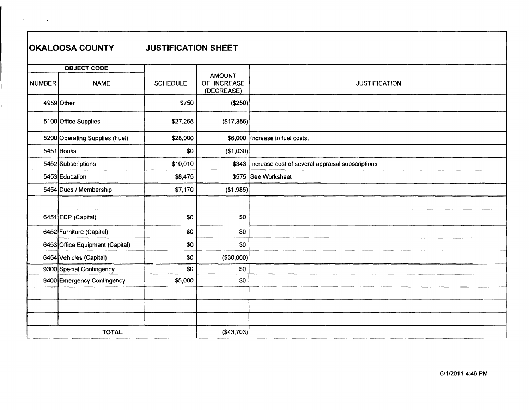## **OKALOOSA COUNTY JUSTIFICATION SHEET**

 $\sim 100$  km s  $^{-1}$ 

 $\mathbf{r}$ 

|               | <b>OBJECT CODE</b>              |                 |                                            |                                                         |
|---------------|---------------------------------|-----------------|--------------------------------------------|---------------------------------------------------------|
| <b>NUMBER</b> | <b>NAME</b>                     | <b>SCHEDULE</b> | <b>AMOUNT</b><br>OF INCREASE<br>(DECREASE) | <b>JUSTIFICATION</b>                                    |
|               | 4959 Other                      | \$750           | (\$250)                                    |                                                         |
|               | 5100 Office Supplies            | \$27,265        | (\$17,356)                                 |                                                         |
|               | 5200 Operating Supplies (Fuel)  | \$28,000        |                                            | \$6,000  Increase in fuel costs.                        |
|               | $5451$ Books                    | \$0             | (\$1,030)                                  |                                                         |
|               | 5452 Subscriptions              | \$10,010        |                                            | \$343  Increase cost of several appraisal subscriptions |
|               | 5453 Education                  | \$8,475         |                                            | \$575 See Worksheet                                     |
|               | 5454 Dues / Membership          | \$7,170         | (\$1,985)                                  |                                                         |
|               |                                 |                 |                                            |                                                         |
|               | 6451 EDP (Capital)              | \$0             | \$0                                        |                                                         |
|               | 6452 Furniture (Capital)        | \$0             | \$0                                        |                                                         |
|               | 6453 Office Equipment (Capital) | \$0             | \$0                                        |                                                         |
|               | 6454 Vehicles (Capital)         | \$0             | ( \$30,000]                                |                                                         |
|               | 9300 Special Contingency        | \$0             | \$0                                        |                                                         |
|               | 9400 Emergency Contingency      | \$5,000         | \$0                                        |                                                         |
|               |                                 |                 |                                            |                                                         |
|               |                                 |                 |                                            |                                                         |
|               |                                 |                 |                                            |                                                         |
|               | <b>TOTAL</b>                    |                 | ( \$43,703]                                |                                                         |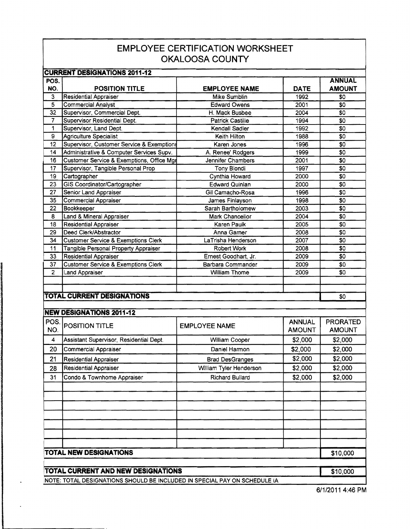## **EMPLOYEE CERTIFICATION WORKSHEET OKALOOSA COUNTY**

| <b>CURRENT DESIGNATIONS 2011-12</b> |                                                |                         |                                |                                  |  |  |  |  |  |  |
|-------------------------------------|------------------------------------------------|-------------------------|--------------------------------|----------------------------------|--|--|--|--|--|--|
| POS.                                |                                                |                         |                                | <b>ANNUAL</b>                    |  |  |  |  |  |  |
| NO.                                 | <b>POSITION TITLE</b>                          | <b>EMPLOYEE NAME</b>    | <b>DATE</b>                    | <b>AMOUNT</b>                    |  |  |  |  |  |  |
| 3                                   | Residential Appraiser                          | Mike Sumblin            | 1992                           | \$0                              |  |  |  |  |  |  |
| $\overline{5}$                      | <b>Commercial Analyst</b>                      | <b>Edward Owens</b>     | 2001                           | \$0                              |  |  |  |  |  |  |
| $\overline{32}$                     | Supervisor, Commercial Dept.                   | H. Mack Busbee          | 2004                           | $\overline{50}$                  |  |  |  |  |  |  |
| 7                                   | Supervisor Residential Dept.                   | Patrick Castille        | 1994                           | $\overline{30}$                  |  |  |  |  |  |  |
| 1                                   | Supervisor, Land Dept.                         | Kendall Sadler          | 1992                           | \$0                              |  |  |  |  |  |  |
| $\overline{9}$                      | <b>Agriculture Specialist</b>                  | Keith Hilton            | 1988                           | \$0                              |  |  |  |  |  |  |
| 12                                  | Supervisor, Customer Service & Exemptions      | Karen Jones             | 1996                           | \$0                              |  |  |  |  |  |  |
| 14                                  | Administrative & Computer Services Supv.       | A. Renee' Rodgers       | 1999                           | \$0                              |  |  |  |  |  |  |
| 16                                  | Customer Service & Exemptions, Office Mgr      | Jennifer Chambers       | 2001                           | \$0                              |  |  |  |  |  |  |
| 17                                  | Supervisor, Tangible Personal Prop             | Tony Biondi             | 1997                           | \$0                              |  |  |  |  |  |  |
| 19                                  | Cartographer                                   | Cynthia Howard          | 2000                           | \$0                              |  |  |  |  |  |  |
| 23                                  | GIS Coordinator/Cartographer                   | <b>Edward Quinlan</b>   | 2000                           | \$0                              |  |  |  |  |  |  |
| 27                                  | Senior Land Appraiser                          | Gil Camacho-Rosa        | 1996                           | \$0                              |  |  |  |  |  |  |
| 35                                  | <b>Commercial Appraiser</b>                    | James Finlayson         | 1998                           | \$0                              |  |  |  |  |  |  |
| 22                                  | Bookkeeper                                     | Sarah Bartholomew       | 2003                           | \$0                              |  |  |  |  |  |  |
| 8                                   | Land & Mineral Appraiser                       | Mark Chancellor         | 2004                           | \$0                              |  |  |  |  |  |  |
| 18                                  | <b>Residential Appraiser</b>                   | Karen Paulk             | 2005                           | \$0                              |  |  |  |  |  |  |
| 29                                  | Deed Clerk/Abstractor                          | Anna Garner             | 2008                           | \$0                              |  |  |  |  |  |  |
| 34                                  | <b>Customer Service &amp; Exemptions Clerk</b> | LaTrisha Henderson      | 2007                           | \$0                              |  |  |  |  |  |  |
| 11                                  | Tangible Personal Property Appraiser           | <b>Robert Work</b>      | 2008                           | \$0                              |  |  |  |  |  |  |
| 33                                  | <b>Residential Appraiser</b>                   | Ernest Goodhart, Jr.    | 2009                           | \$0                              |  |  |  |  |  |  |
| 37                                  | <b>Customer Service &amp; Exemptions Clerk</b> | Barbara Commander       | 2009                           | \$0                              |  |  |  |  |  |  |
| $\overline{2}$                      | Land Appraiser                                 | <b>William Thome</b>    | 2009                           | \$0                              |  |  |  |  |  |  |
|                                     |                                                |                         |                                |                                  |  |  |  |  |  |  |
|                                     |                                                |                         |                                |                                  |  |  |  |  |  |  |
|                                     | <b>TOTAL CURRENT DESIGNATIONS</b>              |                         |                                | \$0                              |  |  |  |  |  |  |
|                                     |                                                |                         |                                |                                  |  |  |  |  |  |  |
|                                     | <b>NEW DESIGNATIONS 2011-12</b>                |                         |                                |                                  |  |  |  |  |  |  |
| POS.<br>NO.                         | POSITION TITLE                                 | <b>EMPLOYEE NAME</b>    | <b>ANNUAL</b><br><b>AMOUNT</b> | <b>PRORATED</b><br><b>AMOUNT</b> |  |  |  |  |  |  |
|                                     |                                                |                         |                                |                                  |  |  |  |  |  |  |
| 4                                   | Assistant Supervisor, Residential Dept.        | William Cooper          | \$2,000                        | \$2,000                          |  |  |  |  |  |  |
| 20                                  | <b>Commercial Appraiser</b>                    | Daniel Harmon           | \$2,000                        | \$2,000                          |  |  |  |  |  |  |
| 21                                  | <b>Residential Appraiser</b>                   | <b>Brad DesGranges</b>  | \$2,000                        | \$2,000                          |  |  |  |  |  |  |
| 28                                  | Residential Appraiser                          | William Tyler Henderson | \$2,000                        | \$2,000                          |  |  |  |  |  |  |
| 31                                  | Condo & Townhome Appraiser                     | Richard Bullard         | \$2,000                        | \$2,000                          |  |  |  |  |  |  |
|                                     |                                                |                         |                                |                                  |  |  |  |  |  |  |
|                                     |                                                |                         |                                |                                  |  |  |  |  |  |  |
|                                     |                                                |                         |                                |                                  |  |  |  |  |  |  |
|                                     |                                                |                         |                                |                                  |  |  |  |  |  |  |
|                                     |                                                |                         |                                |                                  |  |  |  |  |  |  |
|                                     |                                                |                         |                                |                                  |  |  |  |  |  |  |
|                                     |                                                |                         |                                |                                  |  |  |  |  |  |  |
|                                     |                                                |                         |                                |                                  |  |  |  |  |  |  |
|                                     | <b>TOTAL NEW DESIGNATIONS</b>                  |                         |                                |                                  |  |  |  |  |  |  |
|                                     |                                                |                         |                                | \$10,000                         |  |  |  |  |  |  |
|                                     |                                                |                         |                                |                                  |  |  |  |  |  |  |
|                                     | TOTAL CURRENT AND NEW DESIGNATIONS             |                         |                                | \$10,000                         |  |  |  |  |  |  |

NOTE: TOTAL DESIGNATIONS SHOULD BE INCLUDED IN SPECIAL PAY ON SCHEDULE IA

6/1/2011 4:46 **PM**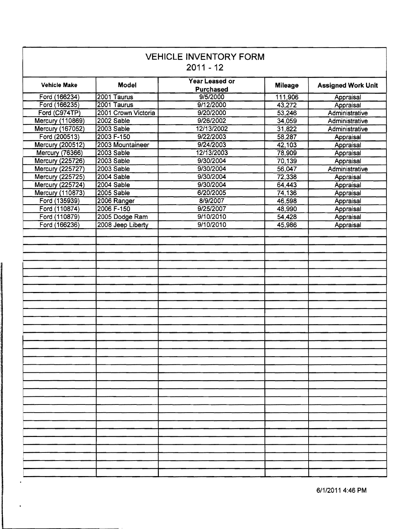| <b>VEHICLE INVENTORY FORM</b><br>$2011 - 12$ |                     |                                           |                |                           |  |  |
|----------------------------------------------|---------------------|-------------------------------------------|----------------|---------------------------|--|--|
| <b>Vehicle Make</b>                          | <b>Model</b>        | <b>Year Leased or</b><br><b>Purchased</b> | <b>Mileage</b> | <b>Assigned Work Unit</b> |  |  |
| Ford (166234)                                | 2001 Taurus         | 9/5/2000                                  | 111,906        | Appraisal                 |  |  |
| Ford (166235)                                | 2001 Taurus         | 9/12/2000                                 | 43,272         | Appraisal                 |  |  |
| Ford (C974TP)                                | 2001 Crown Victoria | 9/20/2000                                 | 53,246         | Administrative            |  |  |
| Mercury (110869)                             | 2002 Sable          | 9/26/2002                                 | 34,059         | Administrative            |  |  |
| Mercury (167052)                             | 2003 Sable          | 12/13/2002                                | 31,822         | Administrative            |  |  |
| Ford (200513)                                | 2003 F-150          | 9/22/2003                                 | 58,287         | Appraisal                 |  |  |
| <b>Mercury (200512)</b>                      | 2003 Mountaineer    | 9/24/2003                                 | 42,103         | Appraisal                 |  |  |
| Mercury (76366)                              | 2003 Sable          | 12/13/2003                                | 78,909         | Appraisal                 |  |  |
| Mercury (225726)                             | 2003 Sable          | 9/30/2004                                 | 70,139         | Appraisal                 |  |  |
| Mercury (225727)                             | 2003 Sable          | 9/30/2004                                 | 56,047         | Administrative            |  |  |
| Mercury (225725)                             | 2004 Sable          | 9/30/2004                                 | 72,338         | Appraisal                 |  |  |
| Mercury (225724)                             | 2004 Sable          | 9/30/2004                                 | 64,443         | Appraisal                 |  |  |
| Mercury (110873)                             | 2005 Sable          | 6/20/2005                                 | 74,136         | Appraisal                 |  |  |
| Ford (135939)                                | 2006 Ranger         | 8/9/2007                                  | 46,598         | Appraisal                 |  |  |
| Ford (110874)                                | 2006 F-150          | 9/25/2007                                 | 48,990         | Appraisal                 |  |  |
| Ford (110879)                                | 2005 Dodge Ram      | 9/10/2010                                 | 54,428         | Appraisal                 |  |  |
| Ford (166236)                                | 2008 Jeep Liberty   | 9/10/2010                                 | 45,986         | Appraisal                 |  |  |
|                                              |                     |                                           |                |                           |  |  |
|                                              |                     |                                           |                |                           |  |  |
|                                              |                     |                                           |                |                           |  |  |
|                                              |                     |                                           |                |                           |  |  |
|                                              |                     |                                           |                |                           |  |  |
|                                              |                     |                                           |                |                           |  |  |
|                                              |                     |                                           |                |                           |  |  |
|                                              |                     |                                           |                |                           |  |  |
|                                              |                     |                                           |                |                           |  |  |
|                                              |                     |                                           |                |                           |  |  |
|                                              |                     |                                           |                |                           |  |  |
|                                              |                     |                                           |                |                           |  |  |
|                                              |                     |                                           |                |                           |  |  |
|                                              |                     |                                           |                |                           |  |  |
|                                              |                     |                                           |                |                           |  |  |
|                                              |                     |                                           |                |                           |  |  |
|                                              |                     |                                           |                |                           |  |  |
|                                              |                     |                                           |                |                           |  |  |
|                                              |                     |                                           |                |                           |  |  |
|                                              |                     |                                           |                |                           |  |  |
|                                              |                     |                                           |                |                           |  |  |
|                                              |                     |                                           |                |                           |  |  |
|                                              |                     |                                           |                |                           |  |  |
|                                              |                     |                                           |                |                           |  |  |
|                                              |                     |                                           |                |                           |  |  |
|                                              |                     |                                           |                |                           |  |  |
|                                              |                     |                                           |                |                           |  |  |
|                                              |                     |                                           |                |                           |  |  |
|                                              |                     |                                           |                |                           |  |  |
|                                              |                     |                                           |                |                           |  |  |
|                                              |                     |                                           |                |                           |  |  |

 $\ddot{\phantom{a}}$ 

 $\hat{\phantom{a}}$ 

6/1/2011 4:46 PM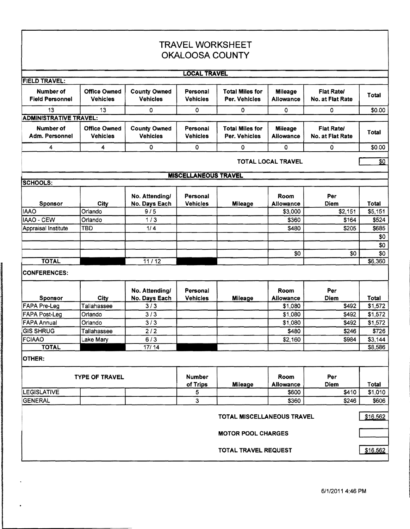| <b>TRAVEL WORKSHEET</b>             |                                        |                                        |                             |                                         |                                    |                                       |              |  |  |
|-------------------------------------|----------------------------------------|----------------------------------------|-----------------------------|-----------------------------------------|------------------------------------|---------------------------------------|--------------|--|--|
| <b>OKALOOSA COUNTY</b>              |                                        |                                        |                             |                                         |                                    |                                       |              |  |  |
|                                     | <b>LOCAL TRAVEL</b>                    |                                        |                             |                                         |                                    |                                       |              |  |  |
| <b>FIELD TRAVEL:</b>                |                                        |                                        |                             |                                         |                                    |                                       |              |  |  |
| Number of<br><b>Field Personnel</b> | <b>Office Owned</b><br>Vehicles        | <b>County Owned</b><br><b>Vehicles</b> | Personal<br><b>Vehicles</b> | <b>Total Miles for</b><br>Per. Vehicles | <b>Mileage</b><br><b>Allowance</b> | <b>Flat Rate/</b><br>No. at Flat Rate | Total        |  |  |
| 13                                  | 13                                     | 0                                      | 0                           | 0                                       | ٥                                  | 0                                     | \$0.00       |  |  |
| <b>ADMINISTRATIVE TRAVEL:</b>       |                                        |                                        |                             |                                         |                                    |                                       |              |  |  |
| Number of<br>Adm. Personnel         | <b>Office Owned</b><br><b>Vehicles</b> | <b>County Owned</b><br><b>Vehicles</b> | Personal<br><b>Vehicles</b> | <b>Total Miles for</b><br>Per. Vehicles | <b>Mileage</b><br>Allowance        | Flat Rate/<br>No. at Flat Rate        | <b>Total</b> |  |  |
| 4                                   | 4                                      | 0                                      | 0                           | 0                                       | 0                                  | 0                                     | \$0.00       |  |  |
|                                     |                                        |                                        |                             |                                         | TOTAL LOCAL TRAVEL                 |                                       | \$0          |  |  |
|                                     |                                        |                                        | <b>MISCELLANEOUS TRAVEL</b> |                                         |                                    |                                       |              |  |  |
| <b>SCHOOLS:</b>                     |                                        |                                        |                             |                                         |                                    |                                       |              |  |  |
| <b>Sponsor</b>                      | City                                   | No. Attending/<br>No. Days Each        | Personal<br><b>Vehicles</b> | <b>Mileage</b>                          | Room<br>Allowance                  | Per<br><b>Diem</b>                    | Total        |  |  |
| <b>IAAO</b>                         | Orlando                                | 9/5                                    |                             |                                         | \$3,000                            | \$2,151                               | \$5,151      |  |  |
| IAAO - CEW                          | Orlando                                | $1/3$                                  |                             |                                         | \$360                              | \$164                                 | \$524        |  |  |
| Appraisal Institute                 | <b>TBD</b>                             | 1/4                                    |                             |                                         | \$480                              | \$205                                 | \$685        |  |  |
|                                     |                                        |                                        |                             |                                         |                                    |                                       | \$0          |  |  |
|                                     |                                        |                                        |                             |                                         |                                    |                                       | \$0          |  |  |
|                                     |                                        |                                        |                             |                                         | \$0                                | \$0                                   | \$0          |  |  |
| <b>TOTAL</b>                        |                                        | 11/12                                  |                             |                                         |                                    |                                       | \$6,360      |  |  |
| <b>CONFERENCES:</b>                 |                                        |                                        |                             |                                         |                                    |                                       |              |  |  |
| <b>Sponsor</b>                      | City                                   | No. Attending/<br>No. Days Each        | Personal<br><b>Vehicles</b> | <b>Mileage</b>                          | Room<br><b>Allowance</b>           | Per<br>Diem                           | Total        |  |  |
| <b>FAPA Pre-Leg</b>                 | Tallahassee                            | 3/3                                    |                             |                                         | \$1,080                            | \$492                                 | \$1,572      |  |  |
| <b>FAPA Post-Leg</b>                | Orlando                                | 3/3                                    |                             |                                         | \$1,080                            | \$492                                 | \$1,572      |  |  |
| <b>FAPA Annual</b>                  | Orlando                                | 3/3                                    |                             |                                         | \$1,080                            | \$492                                 | \$1,572      |  |  |
| <b>GIS SHRUG</b>                    | Tallahassee                            | 2/2                                    |                             |                                         | \$480                              | \$246                                 | \$726        |  |  |
| FCIAAO                              | Lake Mary                              | 6/3                                    |                             |                                         | \$2,160                            | \$984                                 | \$3,144      |  |  |
| <b>TOTAL</b>                        |                                        | 17/14                                  |                             |                                         |                                    |                                       | \$8,586      |  |  |
| OTHER:                              |                                        |                                        |                             |                                         |                                    |                                       |              |  |  |
| <b>TYPE OF TRAVEL</b>               |                                        |                                        | <b>Number</b>               |                                         | Room                               | Per                                   |              |  |  |
|                                     |                                        |                                        | of Trips                    | <b>Mileage</b>                          | <b>Allowance</b>                   | Diem                                  | Total        |  |  |
| LEGISLATIVE<br><b>GENERAL</b>       |                                        |                                        | 5                           |                                         | \$600                              | \$410                                 | \$1,010      |  |  |
|                                     |                                        |                                        | 3                           |                                         | \$360                              | \$246                                 | \$606        |  |  |
| TOTAL MISCELLANEOUS TRAVEL          |                                        |                                        |                             |                                         |                                    |                                       | \$16,562     |  |  |
|                                     |                                        |                                        |                             | <b>MOTOR POOL CHARGES</b>               |                                    |                                       |              |  |  |
|                                     |                                        |                                        |                             |                                         |                                    |                                       |              |  |  |
|                                     |                                        |                                        |                             | TOTAL TRAVEL REQUEST                    |                                    |                                       | \$16,562     |  |  |

 $\mathbf{I}$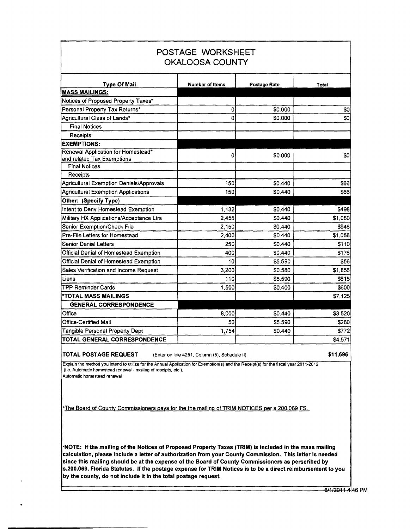| POSTAGE WORKSHEET<br><b>OKALOOSA COUNTY</b>                      |                 |              |         |  |  |  |  |
|------------------------------------------------------------------|-----------------|--------------|---------|--|--|--|--|
| <b>Type Of Mail</b>                                              | Number of Items | Postage Rate | Total   |  |  |  |  |
| <b>MASS MAILINGS:</b>                                            |                 |              |         |  |  |  |  |
| Notices of Proposed Property Taxes*                              |                 |              |         |  |  |  |  |
| Personal Property Tax Returns*                                   | 0               | \$0.000      | \$0     |  |  |  |  |
| Agricultural Class of Lands*                                     | 0               | \$0.000      | \$0     |  |  |  |  |
| <b>Final Notices</b>                                             |                 |              |         |  |  |  |  |
| Receipts                                                         |                 |              |         |  |  |  |  |
| <b>EXEMPTIONS:</b>                                               |                 |              |         |  |  |  |  |
| Renewal Application for Homestead*<br>and related Tax Exemptions | 0               | \$0.000      | \$0     |  |  |  |  |
| <b>Final Notices</b>                                             |                 |              |         |  |  |  |  |
| Receipts                                                         |                 |              |         |  |  |  |  |
| Agricultural Exemption Denials/Approvals                         | 150             | \$0.440      | \$66    |  |  |  |  |
| Agricultural Exemption Applications                              | 150             | \$0.440      | \$66    |  |  |  |  |
| Other: (Specify Type)                                            |                 |              |         |  |  |  |  |
| Intent to Deny Homestead Exemption                               | 1.132           | \$0.440      | \$498   |  |  |  |  |
| Military HX Applications/Acceptance Ltrs                         | 2,455           | \$0.440      | \$1,080 |  |  |  |  |
| Senior Exemption/Check File                                      | 2,150           | \$0.440      | \$946   |  |  |  |  |
| Pre-File Letters for Homestead                                   | 2,400           | \$0.440      | \$1,056 |  |  |  |  |
| <b>Senior Denial Letters</b>                                     | 250             | \$0.440      | \$110   |  |  |  |  |
| Official Denial of Homestead Exemption                           | 400             | \$0.440      | \$176   |  |  |  |  |
| Official Denial of Homestead Exemption                           | 10              | \$5.590      | \$56    |  |  |  |  |
| Sales Verification and Income Request                            | 3,200           | \$0.580      | \$1,856 |  |  |  |  |
| Liens                                                            | 110             | \$5.590      | \$615   |  |  |  |  |
| <b>TPP Reminder Cards</b>                                        | 1,500           | \$0.400      | \$600   |  |  |  |  |
| *TOTAL MASS MAILINGS                                             |                 |              | \$7,125 |  |  |  |  |
| <b>GENERAL CORRESPONDENCE</b>                                    |                 |              |         |  |  |  |  |
| Office                                                           | 8.000           | \$0.440      | \$3,520 |  |  |  |  |
| Office-Certified Mail                                            | 50              | \$5.590      | \$280   |  |  |  |  |
| Tangible Personal Property Dept                                  | 1,754           | \$0.440      | \$772   |  |  |  |  |
| TOTAL GENERAL CORRESPONDENCE                                     |                 |              | \$4,571 |  |  |  |  |

**TOTAL POSTAGE REQUEST** {Enter on line 4251, Column {5), Schedule II)

**\$11,696** 

Explain the method you intend to utilize for the Annual Application for Exemption(s) and the Receipt(s) for the fiscal year 2011-2012 (i.e. Automatic homestead renewal • mailing of receipts, etc.).

Automatic homestead renewal

·The Board of County Commissioners pays for the the mailing of TRIM NOTICES per s.200.069 FS.

**·NOTE: If the mailing of the Notices of Proposed Property Taxes (TRIM) is included** in **the mass mailing calculation, please** include **a letter of authorization from your County Commission. This letter is needed since this mailing should be at the expense of the Board of County Commissioners as perscribed by s.200.069, Florida Statutes. If the postage expense for TRIM Notices is to be a direct reimbursement to you by the county, do not include it in the total postage request**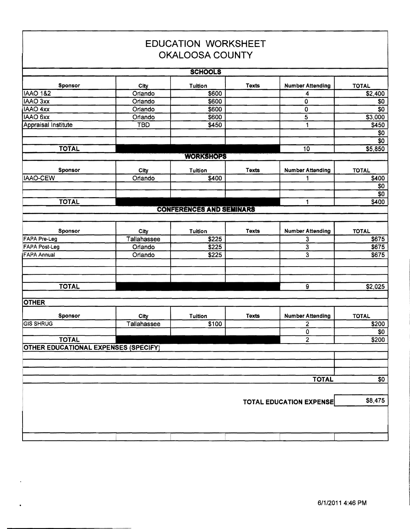|                                             |             | <b>EDUCATION WORKSHEET</b><br><b>OKALOOSA COUNTY</b> |              |                                |              |
|---------------------------------------------|-------------|------------------------------------------------------|--------------|--------------------------------|--------------|
|                                             |             |                                                      |              |                                |              |
|                                             |             | <b>SCHOOLS</b>                                       |              |                                |              |
| <b>Sponsor</b>                              | City        | <b>Tuition</b>                                       | <b>Texts</b> | <b>Number Attending</b>        | <b>TOTAL</b> |
| <b>IAAO 1&amp;2</b>                         | Orlando     | \$600                                                |              | 4                              | \$2,400      |
| IAAO 3xx                                    | Orlando     | \$600                                                |              | O                              | \$0          |
| IAAO 4xx                                    | Orlando     | \$600                                                |              | 0                              | \$0          |
| IAAO 6xx                                    | Orlando     | \$600                                                |              | 5                              | \$3,000      |
| Appraisal Institute                         | <b>TBD</b>  | \$450                                                |              | 1                              | \$450        |
|                                             |             |                                                      |              |                                | \$0          |
|                                             |             |                                                      |              |                                | \$0          |
| <b>TOTAL</b>                                |             |                                                      |              | 10                             | \$5,850      |
|                                             |             | <b>WORKSHOPS</b>                                     |              |                                |              |
| Sponsor                                     | City        | Tuition                                              | Texts        | <b>Number Attending</b>        | <b>TOTAL</b> |
| <b>IAAO-CEW</b>                             | Orlando     | \$400                                                |              |                                | \$400        |
|                                             |             |                                                      |              |                                | \$0          |
|                                             |             |                                                      |              |                                | \$0          |
| <b>TOTAL</b>                                |             |                                                      |              | 1                              | \$400        |
|                                             |             | <b>CONFERENCES AND SEMINARS</b>                      |              |                                |              |
|                                             |             |                                                      |              |                                |              |
| Sponsor                                     | City        | Tuition                                              | Texts        | <b>Number Attending</b>        | <b>TOTAL</b> |
| <b>FAPA Pre-Leg</b>                         | Tallahassee | \$225                                                |              | 3                              | \$675        |
| <b>FAPA Post-Leg</b>                        | Orlando     | \$225                                                |              | $\overline{\mathbf{3}}$        | \$675        |
| <b>FAPA Annual</b>                          | Orlando     | \$225                                                |              | 3                              | \$675        |
|                                             |             |                                                      |              |                                |              |
|                                             |             |                                                      |              |                                |              |
| <b>TOTAL</b>                                |             |                                                      |              | 9                              | \$2,025      |
|                                             |             |                                                      |              |                                |              |
| <b>OTHER</b>                                |             |                                                      |              |                                |              |
| <b>Sponsor</b>                              | City        | <b>Tuition</b>                                       | <b>Texts</b> | <b>Number Attending</b>        | <b>TOTAL</b> |
| <b>GIS SHRUG</b>                            | Tallahassee | \$100                                                |              | 2                              | \$200        |
|                                             |             |                                                      |              | 0                              | \$0          |
| <b>TOTAL</b>                                |             |                                                      |              | $\overline{2}$                 | \$200        |
| <b>OTHER EDUCATIONAL EXPENSES (SPECIFY)</b> |             |                                                      |              |                                |              |
|                                             |             |                                                      |              |                                |              |
|                                             |             |                                                      |              |                                |              |
|                                             |             |                                                      |              | <b>TOTAL</b>                   | \$0          |
|                                             |             |                                                      |              |                                |              |
|                                             |             |                                                      |              | <b>TOTAL EDUCATION EXPENSE</b> | \$8,475      |
|                                             |             |                                                      |              |                                |              |
|                                             |             |                                                      |              |                                |              |
|                                             |             |                                                      |              |                                |              |
|                                             |             |                                                      |              |                                |              |

 $\bullet$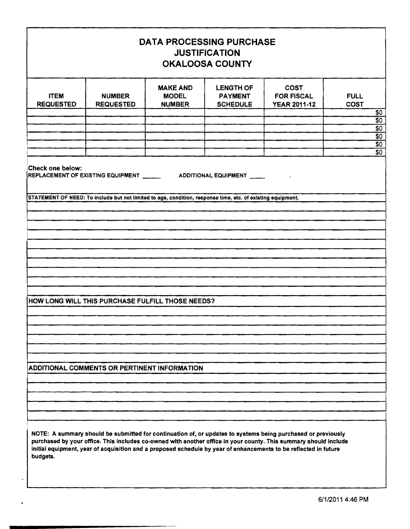| <b>DATA PROCESSING PURCHASE</b><br><b>JUSTIFICATION</b><br><b>OKALOOSA COUNTY</b>                                                                                                                                                                                                                                                                                |                                                                                                             |                                                  |                                                       |                                                         |                                               |  |  |
|------------------------------------------------------------------------------------------------------------------------------------------------------------------------------------------------------------------------------------------------------------------------------------------------------------------------------------------------------------------|-------------------------------------------------------------------------------------------------------------|--------------------------------------------------|-------------------------------------------------------|---------------------------------------------------------|-----------------------------------------------|--|--|
| <b>ITEM</b><br><b>REQUESTED</b>                                                                                                                                                                                                                                                                                                                                  | <b>NUMBER</b><br><b>REQUESTED</b>                                                                           | <b>MAKE AND</b><br><b>MODEL</b><br><b>NUMBER</b> | <b>LENGTH OF</b><br><b>PAYMENT</b><br><b>SCHEDULE</b> | <b>COST</b><br><b>FOR FISCAL</b><br><b>YEAR 2011-12</b> | <b>FULL</b><br><b>COST</b><br>$\frac{60}{50}$ |  |  |
|                                                                                                                                                                                                                                                                                                                                                                  |                                                                                                             |                                                  |                                                       |                                                         | $\frac{$0}{0}$                                |  |  |
|                                                                                                                                                                                                                                                                                                                                                                  |                                                                                                             |                                                  |                                                       |                                                         |                                               |  |  |
|                                                                                                                                                                                                                                                                                                                                                                  |                                                                                                             |                                                  |                                                       |                                                         | $\frac{$0}{0}$<br>$\overline{30}$             |  |  |
| <b>Check one below:</b>                                                                                                                                                                                                                                                                                                                                          | REPLACEMENT OF EXISTING EQUIPMENT ________________ ADDITIONAL EQUIPMENT ______                              |                                                  |                                                       |                                                         |                                               |  |  |
|                                                                                                                                                                                                                                                                                                                                                                  | STATEMENT OF NEED: To include but not limited to age, condition, response time, etc. of existing equipment. |                                                  |                                                       |                                                         |                                               |  |  |
|                                                                                                                                                                                                                                                                                                                                                                  |                                                                                                             |                                                  |                                                       |                                                         |                                               |  |  |
|                                                                                                                                                                                                                                                                                                                                                                  |                                                                                                             |                                                  |                                                       |                                                         |                                               |  |  |
|                                                                                                                                                                                                                                                                                                                                                                  |                                                                                                             |                                                  |                                                       |                                                         |                                               |  |  |
|                                                                                                                                                                                                                                                                                                                                                                  |                                                                                                             |                                                  |                                                       |                                                         |                                               |  |  |
|                                                                                                                                                                                                                                                                                                                                                                  |                                                                                                             |                                                  |                                                       |                                                         |                                               |  |  |
|                                                                                                                                                                                                                                                                                                                                                                  |                                                                                                             |                                                  |                                                       |                                                         |                                               |  |  |
|                                                                                                                                                                                                                                                                                                                                                                  |                                                                                                             |                                                  |                                                       |                                                         |                                               |  |  |
|                                                                                                                                                                                                                                                                                                                                                                  | HOW LONG WILL THIS PURCHASE FULFILL THOSE NEEDS?                                                            |                                                  |                                                       |                                                         |                                               |  |  |
|                                                                                                                                                                                                                                                                                                                                                                  |                                                                                                             |                                                  |                                                       |                                                         |                                               |  |  |
|                                                                                                                                                                                                                                                                                                                                                                  |                                                                                                             |                                                  |                                                       |                                                         |                                               |  |  |
|                                                                                                                                                                                                                                                                                                                                                                  |                                                                                                             |                                                  |                                                       |                                                         |                                               |  |  |
|                                                                                                                                                                                                                                                                                                                                                                  |                                                                                                             |                                                  |                                                       |                                                         |                                               |  |  |
|                                                                                                                                                                                                                                                                                                                                                                  | ADDITIONAL COMMENTS OR PERTINENT INFORMATION                                                                |                                                  |                                                       |                                                         |                                               |  |  |
|                                                                                                                                                                                                                                                                                                                                                                  |                                                                                                             |                                                  |                                                       |                                                         |                                               |  |  |
|                                                                                                                                                                                                                                                                                                                                                                  |                                                                                                             |                                                  |                                                       |                                                         |                                               |  |  |
|                                                                                                                                                                                                                                                                                                                                                                  |                                                                                                             |                                                  |                                                       |                                                         |                                               |  |  |
| NOTE: A summary should be submitted for continuation of, or updates to systems being purchased or previously<br>purchased by your office. This includes co-owned with another office in your county. This summary should include<br>initial equipment, year of acquisition and a proposed schedule by year of enhancements to be reflected in future<br>budgets. |                                                                                                             |                                                  |                                                       |                                                         |                                               |  |  |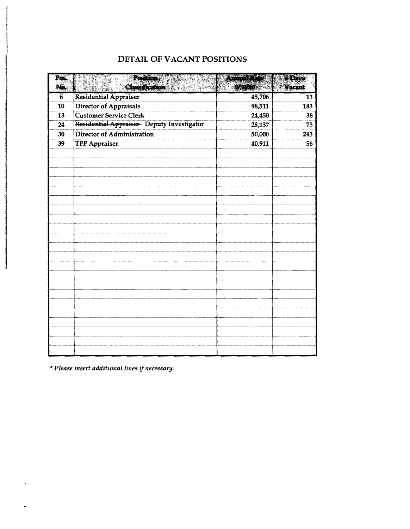| Pos.<br>No.     | Position <sup>8</sup><br>en et l<br>Classication and all | obinza katok<br>96040 | # Days<br>Vacant |
|-----------------|----------------------------------------------------------|-----------------------|------------------|
| $6\phantom{1}6$ | Residential Appraiser                                    | 45,706                | 13               |
| 10              | Director of Appraisals                                   | 98,511                | 183              |
| 13              | <b>Customer Service Clerk</b>                            | 24,450                | 38               |
| 24              | Residential Appraiser Deputy Investigator                | 28,137                | 73               |
| 30              | <b>Director of Administration</b>                        | 50,000                | 243              |
| 39              | <b>TPP Appraiser</b>                                     | 40,911                | 56               |
|                 |                                                          |                       |                  |
|                 |                                                          |                       |                  |
|                 |                                                          |                       |                  |
|                 |                                                          |                       |                  |
|                 |                                                          |                       |                  |
|                 |                                                          |                       |                  |
|                 |                                                          |                       |                  |
|                 |                                                          |                       |                  |
|                 |                                                          |                       |                  |
|                 |                                                          |                       |                  |
|                 |                                                          |                       |                  |
|                 |                                                          |                       |                  |
|                 |                                                          |                       |                  |
|                 |                                                          |                       |                  |
|                 |                                                          |                       |                  |
|                 |                                                          |                       |                  |
|                 |                                                          |                       |                  |
|                 |                                                          |                       |                  |
|                 |                                                          |                       |                  |
|                 |                                                          |                       |                  |
|                 |                                                          |                       |                  |
|                 |                                                          |                       |                  |

## DETAIL OF VACANT POSITIONS

\**Please insert additional lines ifnecessary.* 

I

 $\bullet$ 

la la regional de la partida de la partida de la partida de la partida de la partida de la partida de la parti<br>La partida de la partida de la partida de la partida de la partida de la partida de la partida de la partida d

j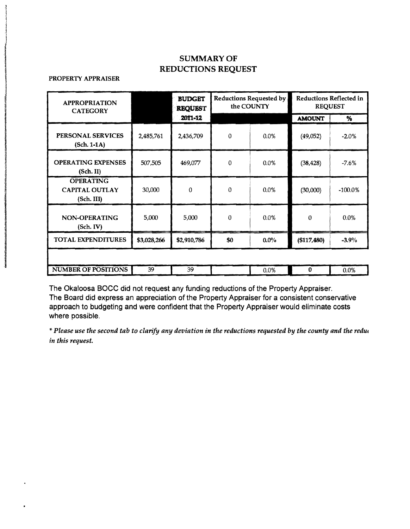## SUMMARY OF REDUCTIONS REQUEST

### PROPERTY APPRAISER

| <b>APPROPRIATION</b><br><b>CATEGORY</b>                 |             | <b>BUDGET</b><br><b>REQUEST</b><br>2011-12 | <b>Reductions Requested by</b><br>the COUNTY |         | Reductions Reflected in<br><b>REQUEST</b> |            |
|---------------------------------------------------------|-------------|--------------------------------------------|----------------------------------------------|---------|-------------------------------------------|------------|
|                                                         |             |                                            |                                              |         | <b>AMOUNT</b>                             | %          |
| PERSONAL SERVICES<br>$(Sch. 1-1A)$                      | 2,485,761   | 2,436,709                                  | $\Omega$                                     | 0.0%    | (49,052)                                  | $-2.0%$    |
| <b>OPERATING EXPENSES</b><br>(Sch. II)                  | 507,505     | 469,077                                    | $\mathbf 0$                                  | 0.0%    | (38, 428)                                 | $-7.6%$    |
| <b>OPERATING</b><br><b>CAPITAL OUTLAY</b><br>(Sch. III) | 30,000      | 0                                          | $\mathbf{0}$                                 | 0.0%    | (30,000)                                  | $-100.0\%$ |
| NON-OPERATING<br>(Sch. IV)                              | 5,000       | 5,000                                      | $\theta$                                     | 0.0%    | 0                                         | 0.0%       |
| <b>TOTAL EXPENDITURES</b>                               | \$3,028,266 | \$2,910,786                                | \$0                                          | $0.0\%$ | ( \$117,480)                              | $-3.9%$    |
|                                                         |             |                                            |                                              |         |                                           |            |
| <b>NUMBER OF POSITIONS</b>                              | 39          | 39                                         |                                              | 0.0%    | 0                                         | 0.0%       |

The Okaloosa BOCC did not request any funding reductions of the Property Appraiser. The Board did express an appreciation of the Property Appraiser for a consistent conservative approach to budgeting and were confident that the Property Appraiser would eliminate costs where possible.

\**Please use the second tab to clarify any deviation in the reductions requested by the county and the redu, in this request.*